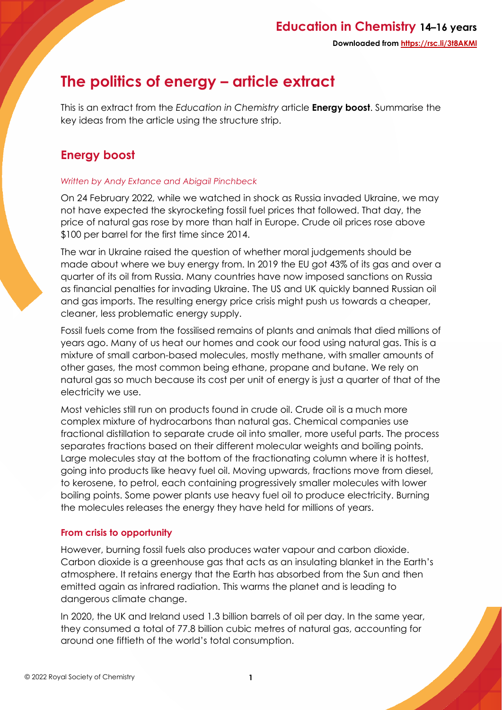# **The politics of energy – article extract**

This is an extract from the *Education in Chemistry* article **Energy boost**. Summarise the key ideas from the article using the structure strip.

## **Energy boost**

#### *Written by Andy Extance and Abigail Pinchbeck*

On 24 February 2022, while we watched in shock as Russia invaded Ukraine, we may not have expected the skyrocketing fossil fuel prices that followed. That day, the price of natural gas rose by more than half in Europe. Crude oil prices rose above \$100 per barrel for the first time since 2014.

The war in Ukraine raised the question of whether moral judgements should be made about where we buy energy from. In 2019 the EU got 43% of its gas and over a quarter of its oil from Russia. Many countries have now imposed sanctions on Russia as financial penalties for invading Ukraine. The US and UK quickly banned Russian oil and gas imports. The resulting energy price crisis might push us towards a cheaper, cleaner, less problematic energy supply.

Fossil fuels come from the fossilised remains of plants and animals that died millions of years ago. Many of us heat our homes and cook our food using natural gas. This is a mixture of small carbon-based molecules, mostly methane, with smaller amounts of other gases, the most common being ethane, propane and butane. We rely on natural gas so much because its cost per unit of energy is just a quarter of that of the electricity we use.

Most vehicles still run on products found in crude oil. Crude oil is a much more complex mixture of hydrocarbons than natural gas. Chemical companies use fractional distillation to separate crude oil into smaller, more useful parts. The process separates fractions based on their different molecular weights and boiling points. Large molecules stay at the bottom of the fractionating column where it is hottest, going into products like heavy fuel oil. Moving upwards, fractions move from diesel, to kerosene, to petrol, each containing progressively smaller molecules with lower boiling points. Some power plants use heavy fuel oil to produce electricity. Burning the molecules releases the energy they have held for millions of years.

### **From crisis to opportunity**

However, burning fossil fuels also produces water vapour and carbon dioxide. Carbon dioxide is a greenhouse gas that acts as an insulating blanket in the Earth's atmosphere. It retains energy that the Earth has absorbed from the Sun and then emitted again as infrared radiation. This warms the planet and is leading to dangerous climate change.

In 2020, the UK and Ireland used 1.3 billion barrels of oil per day. In the same year, they consumed a total of 77.8 billion cubic metres of natural gas, accounting for around one fiftieth of the world's total consumption.